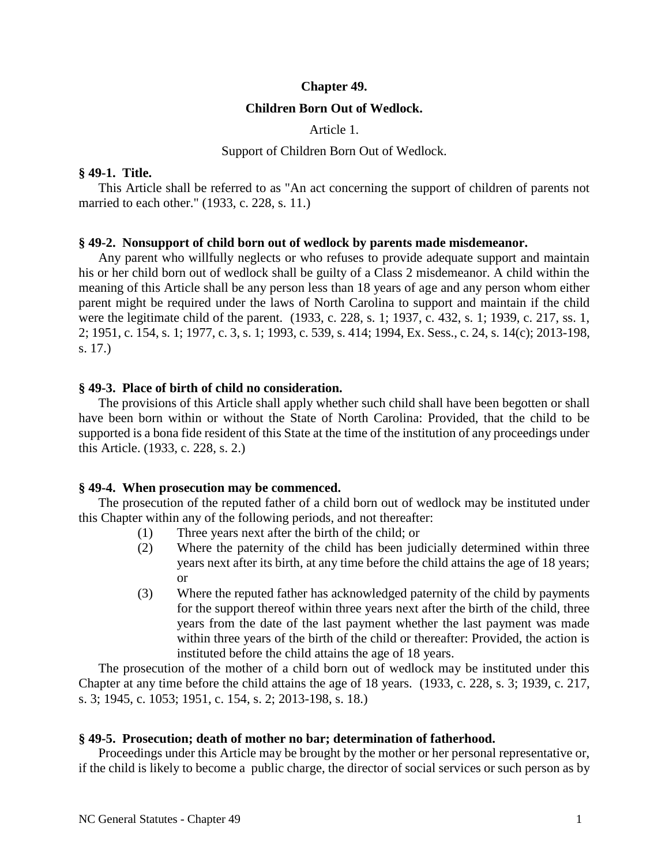### **Chapter 49.**

## **Children Born Out of Wedlock.**

Article 1.

### Support of Children Born Out of Wedlock.

### **§ 49-1. Title.**

This Article shall be referred to as "An act concerning the support of children of parents not married to each other." (1933, c. 228, s. 11.)

## **§ 49-2. Nonsupport of child born out of wedlock by parents made misdemeanor.**

Any parent who willfully neglects or who refuses to provide adequate support and maintain his or her child born out of wedlock shall be guilty of a Class 2 misdemeanor. A child within the meaning of this Article shall be any person less than 18 years of age and any person whom either parent might be required under the laws of North Carolina to support and maintain if the child were the legitimate child of the parent. (1933, c. 228, s. 1; 1937, c. 432, s. 1; 1939, c. 217, ss. 1, 2; 1951, c. 154, s. 1; 1977, c. 3, s. 1; 1993, c. 539, s. 414; 1994, Ex. Sess., c. 24, s. 14(c); 2013-198, s. 17.)

## **§ 49-3. Place of birth of child no consideration.**

The provisions of this Article shall apply whether such child shall have been begotten or shall have been born within or without the State of North Carolina: Provided, that the child to be supported is a bona fide resident of this State at the time of the institution of any proceedings under this Article. (1933, c. 228, s. 2.)

### **§ 49-4. When prosecution may be commenced.**

The prosecution of the reputed father of a child born out of wedlock may be instituted under this Chapter within any of the following periods, and not thereafter:

- (1) Three years next after the birth of the child; or
- (2) Where the paternity of the child has been judicially determined within three years next after its birth, at any time before the child attains the age of 18 years; or
- (3) Where the reputed father has acknowledged paternity of the child by payments for the support thereof within three years next after the birth of the child, three years from the date of the last payment whether the last payment was made within three years of the birth of the child or thereafter: Provided, the action is instituted before the child attains the age of 18 years.

The prosecution of the mother of a child born out of wedlock may be instituted under this Chapter at any time before the child attains the age of 18 years. (1933, c. 228, s. 3; 1939, c. 217, s. 3; 1945, c. 1053; 1951, c. 154, s. 2; 2013-198, s. 18.)

### **§ 49-5. Prosecution; death of mother no bar; determination of fatherhood.**

Proceedings under this Article may be brought by the mother or her personal representative or, if the child is likely to become a public charge, the director of social services or such person as by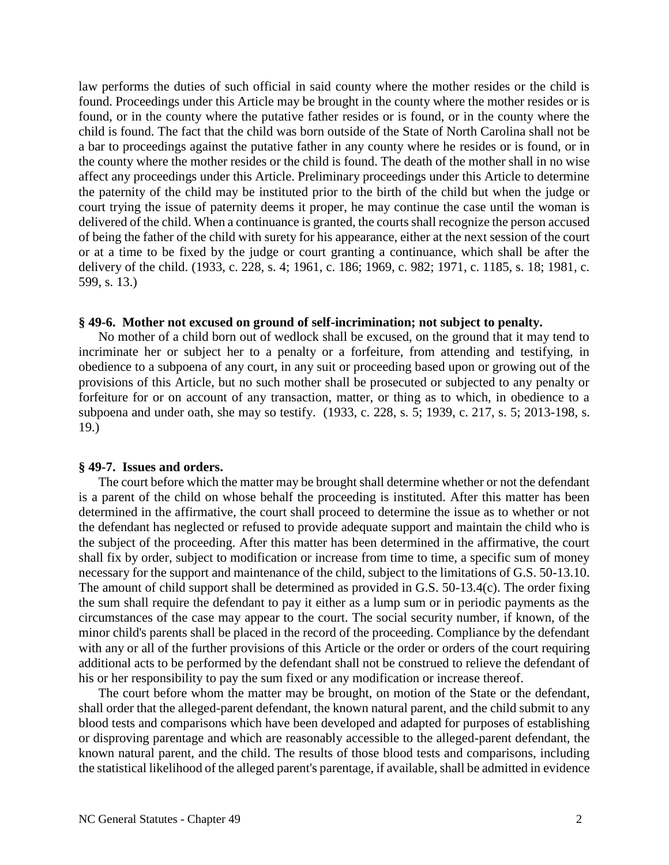law performs the duties of such official in said county where the mother resides or the child is found. Proceedings under this Article may be brought in the county where the mother resides or is found, or in the county where the putative father resides or is found, or in the county where the child is found. The fact that the child was born outside of the State of North Carolina shall not be a bar to proceedings against the putative father in any county where he resides or is found, or in the county where the mother resides or the child is found. The death of the mother shall in no wise affect any proceedings under this Article. Preliminary proceedings under this Article to determine the paternity of the child may be instituted prior to the birth of the child but when the judge or court trying the issue of paternity deems it proper, he may continue the case until the woman is delivered of the child. When a continuance is granted, the courts shall recognize the person accused of being the father of the child with surety for his appearance, either at the next session of the court or at a time to be fixed by the judge or court granting a continuance, which shall be after the delivery of the child. (1933, c. 228, s. 4; 1961, c. 186; 1969, c. 982; 1971, c. 1185, s. 18; 1981, c. 599, s. 13.)

### **§ 49-6. Mother not excused on ground of self-incrimination; not subject to penalty.**

No mother of a child born out of wedlock shall be excused, on the ground that it may tend to incriminate her or subject her to a penalty or a forfeiture, from attending and testifying, in obedience to a subpoena of any court, in any suit or proceeding based upon or growing out of the provisions of this Article, but no such mother shall be prosecuted or subjected to any penalty or forfeiture for or on account of any transaction, matter, or thing as to which, in obedience to a subpoena and under oath, she may so testify. (1933, c. 228, s. 5; 1939, c. 217, s. 5; 2013-198, s. 19.)

### **§ 49-7. Issues and orders.**

The court before which the matter may be brought shall determine whether or not the defendant is a parent of the child on whose behalf the proceeding is instituted. After this matter has been determined in the affirmative, the court shall proceed to determine the issue as to whether or not the defendant has neglected or refused to provide adequate support and maintain the child who is the subject of the proceeding. After this matter has been determined in the affirmative, the court shall fix by order, subject to modification or increase from time to time, a specific sum of money necessary for the support and maintenance of the child, subject to the limitations of G.S. 50-13.10. The amount of child support shall be determined as provided in G.S. 50-13.4(c). The order fixing the sum shall require the defendant to pay it either as a lump sum or in periodic payments as the circumstances of the case may appear to the court. The social security number, if known, of the minor child's parents shall be placed in the record of the proceeding. Compliance by the defendant with any or all of the further provisions of this Article or the order or orders of the court requiring additional acts to be performed by the defendant shall not be construed to relieve the defendant of his or her responsibility to pay the sum fixed or any modification or increase thereof.

The court before whom the matter may be brought, on motion of the State or the defendant, shall order that the alleged-parent defendant, the known natural parent, and the child submit to any blood tests and comparisons which have been developed and adapted for purposes of establishing or disproving parentage and which are reasonably accessible to the alleged-parent defendant, the known natural parent, and the child. The results of those blood tests and comparisons, including the statistical likelihood of the alleged parent's parentage, if available, shall be admitted in evidence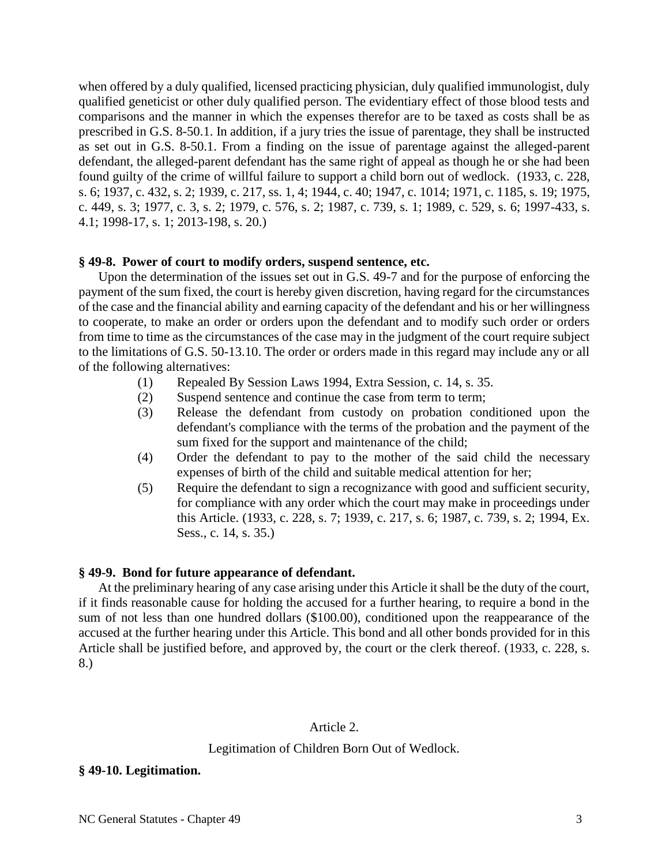when offered by a duly qualified, licensed practicing physician, duly qualified immunologist, duly qualified geneticist or other duly qualified person. The evidentiary effect of those blood tests and comparisons and the manner in which the expenses therefor are to be taxed as costs shall be as prescribed in G.S. 8-50.1. In addition, if a jury tries the issue of parentage, they shall be instructed as set out in G.S. 8-50.1. From a finding on the issue of parentage against the alleged-parent defendant, the alleged-parent defendant has the same right of appeal as though he or she had been found guilty of the crime of willful failure to support a child born out of wedlock. (1933, c. 228, s. 6; 1937, c. 432, s. 2; 1939, c. 217, ss. 1, 4; 1944, c. 40; 1947, c. 1014; 1971, c. 1185, s. 19; 1975, c. 449, s. 3; 1977, c. 3, s. 2; 1979, c. 576, s. 2; 1987, c. 739, s. 1; 1989, c. 529, s. 6; 1997-433, s. 4.1; 1998-17, s. 1; 2013-198, s. 20.)

## **§ 49-8. Power of court to modify orders, suspend sentence, etc.**

Upon the determination of the issues set out in G.S. 49-7 and for the purpose of enforcing the payment of the sum fixed, the court is hereby given discretion, having regard for the circumstances of the case and the financial ability and earning capacity of the defendant and his or her willingness to cooperate, to make an order or orders upon the defendant and to modify such order or orders from time to time as the circumstances of the case may in the judgment of the court require subject to the limitations of G.S. 50-13.10. The order or orders made in this regard may include any or all of the following alternatives:

- (1) Repealed By Session Laws 1994, Extra Session, c. 14, s. 35.
- (2) Suspend sentence and continue the case from term to term;
- (3) Release the defendant from custody on probation conditioned upon the defendant's compliance with the terms of the probation and the payment of the sum fixed for the support and maintenance of the child;
- (4) Order the defendant to pay to the mother of the said child the necessary expenses of birth of the child and suitable medical attention for her;
- (5) Require the defendant to sign a recognizance with good and sufficient security, for compliance with any order which the court may make in proceedings under this Article. (1933, c. 228, s. 7; 1939, c. 217, s. 6; 1987, c. 739, s. 2; 1994, Ex. Sess., c. 14, s. 35.)

## **§ 49-9. Bond for future appearance of defendant.**

At the preliminary hearing of any case arising under this Article it shall be the duty of the court, if it finds reasonable cause for holding the accused for a further hearing, to require a bond in the sum of not less than one hundred dollars (\$100.00), conditioned upon the reappearance of the accused at the further hearing under this Article. This bond and all other bonds provided for in this Article shall be justified before, and approved by, the court or the clerk thereof. (1933, c. 228, s. 8.)

## Article 2.

## Legitimation of Children Born Out of Wedlock.

### **§ 49-10. Legitimation.**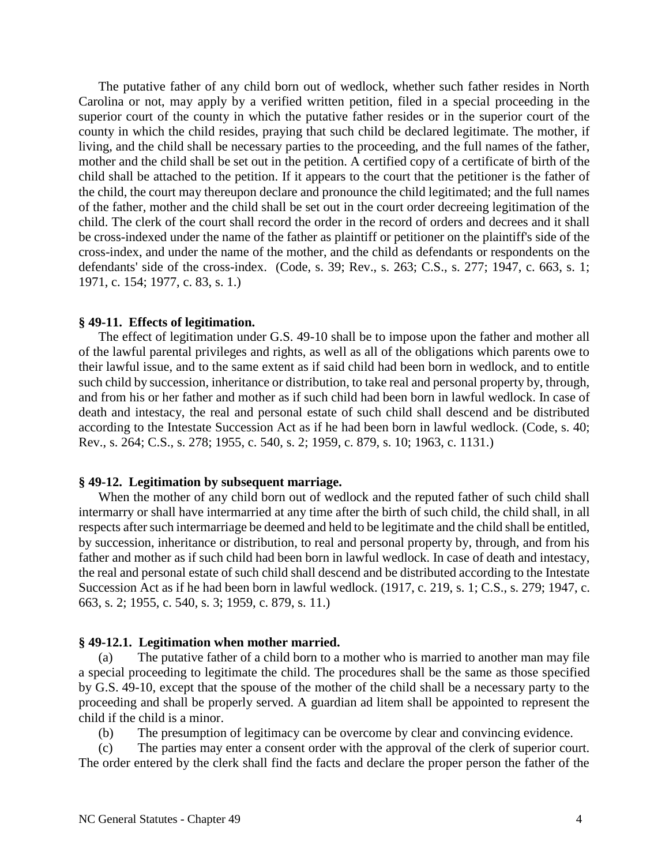The putative father of any child born out of wedlock, whether such father resides in North Carolina or not, may apply by a verified written petition, filed in a special proceeding in the superior court of the county in which the putative father resides or in the superior court of the county in which the child resides, praying that such child be declared legitimate. The mother, if living, and the child shall be necessary parties to the proceeding, and the full names of the father, mother and the child shall be set out in the petition. A certified copy of a certificate of birth of the child shall be attached to the petition. If it appears to the court that the petitioner is the father of the child, the court may thereupon declare and pronounce the child legitimated; and the full names of the father, mother and the child shall be set out in the court order decreeing legitimation of the child. The clerk of the court shall record the order in the record of orders and decrees and it shall be cross-indexed under the name of the father as plaintiff or petitioner on the plaintiff's side of the cross-index, and under the name of the mother, and the child as defendants or respondents on the defendants' side of the cross-index. (Code, s. 39; Rev., s. 263; C.S., s. 277; 1947, c. 663, s. 1; 1971, c. 154; 1977, c. 83, s. 1.)

#### **§ 49-11. Effects of legitimation.**

The effect of legitimation under G.S. 49-10 shall be to impose upon the father and mother all of the lawful parental privileges and rights, as well as all of the obligations which parents owe to their lawful issue, and to the same extent as if said child had been born in wedlock, and to entitle such child by succession, inheritance or distribution, to take real and personal property by, through, and from his or her father and mother as if such child had been born in lawful wedlock. In case of death and intestacy, the real and personal estate of such child shall descend and be distributed according to the Intestate Succession Act as if he had been born in lawful wedlock. (Code, s. 40; Rev., s. 264; C.S., s. 278; 1955, c. 540, s. 2; 1959, c. 879, s. 10; 1963, c. 1131.)

### **§ 49-12. Legitimation by subsequent marriage.**

When the mother of any child born out of wedlock and the reputed father of such child shall intermarry or shall have intermarried at any time after the birth of such child, the child shall, in all respects after such intermarriage be deemed and held to be legitimate and the child shall be entitled, by succession, inheritance or distribution, to real and personal property by, through, and from his father and mother as if such child had been born in lawful wedlock. In case of death and intestacy, the real and personal estate of such child shall descend and be distributed according to the Intestate Succession Act as if he had been born in lawful wedlock. (1917, c. 219, s. 1; C.S., s. 279; 1947, c. 663, s. 2; 1955, c. 540, s. 3; 1959, c. 879, s. 11.)

### **§ 49-12.1. Legitimation when mother married.**

(a) The putative father of a child born to a mother who is married to another man may file a special proceeding to legitimate the child. The procedures shall be the same as those specified by G.S. 49-10, except that the spouse of the mother of the child shall be a necessary party to the proceeding and shall be properly served. A guardian ad litem shall be appointed to represent the child if the child is a minor.

(b) The presumption of legitimacy can be overcome by clear and convincing evidence.

(c) The parties may enter a consent order with the approval of the clerk of superior court. The order entered by the clerk shall find the facts and declare the proper person the father of the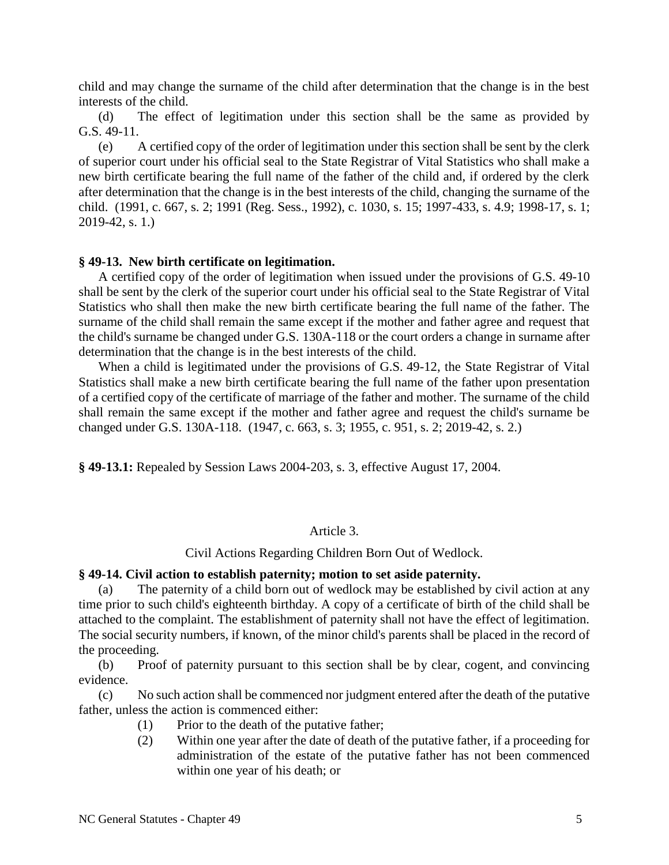child and may change the surname of the child after determination that the change is in the best interests of the child.

(d) The effect of legitimation under this section shall be the same as provided by G.S. 49-11.

(e) A certified copy of the order of legitimation under this section shall be sent by the clerk of superior court under his official seal to the State Registrar of Vital Statistics who shall make a new birth certificate bearing the full name of the father of the child and, if ordered by the clerk after determination that the change is in the best interests of the child, changing the surname of the child. (1991, c. 667, s. 2; 1991 (Reg. Sess., 1992), c. 1030, s. 15; 1997-433, s. 4.9; 1998-17, s. 1; 2019-42, s. 1.)

#### **§ 49-13. New birth certificate on legitimation.**

A certified copy of the order of legitimation when issued under the provisions of G.S. 49-10 shall be sent by the clerk of the superior court under his official seal to the State Registrar of Vital Statistics who shall then make the new birth certificate bearing the full name of the father. The surname of the child shall remain the same except if the mother and father agree and request that the child's surname be changed under G.S. 130A-118 or the court orders a change in surname after determination that the change is in the best interests of the child.

When a child is legitimated under the provisions of G.S. 49-12, the State Registrar of Vital Statistics shall make a new birth certificate bearing the full name of the father upon presentation of a certified copy of the certificate of marriage of the father and mother. The surname of the child shall remain the same except if the mother and father agree and request the child's surname be changed under G.S. 130A-118. (1947, c. 663, s. 3; 1955, c. 951, s. 2; 2019-42, s. 2.)

**§ 49-13.1:** Repealed by Session Laws 2004-203, s. 3, effective August 17, 2004.

### Article 3.

#### Civil Actions Regarding Children Born Out of Wedlock.

### **§ 49-14. Civil action to establish paternity; motion to set aside paternity.**

(a) The paternity of a child born out of wedlock may be established by civil action at any time prior to such child's eighteenth birthday. A copy of a certificate of birth of the child shall be attached to the complaint. The establishment of paternity shall not have the effect of legitimation. The social security numbers, if known, of the minor child's parents shall be placed in the record of the proceeding.

(b) Proof of paternity pursuant to this section shall be by clear, cogent, and convincing evidence.

(c) No such action shall be commenced nor judgment entered after the death of the putative father, unless the action is commenced either:

- (1) Prior to the death of the putative father;
- (2) Within one year after the date of death of the putative father, if a proceeding for administration of the estate of the putative father has not been commenced within one year of his death; or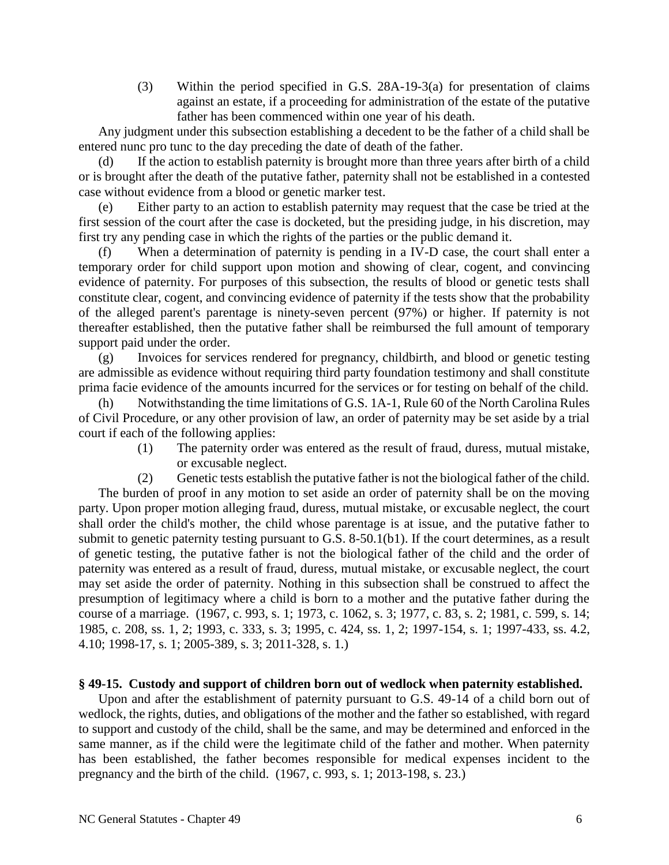(3) Within the period specified in G.S. 28A-19-3(a) for presentation of claims against an estate, if a proceeding for administration of the estate of the putative father has been commenced within one year of his death.

Any judgment under this subsection establishing a decedent to be the father of a child shall be entered nunc pro tunc to the day preceding the date of death of the father.

(d) If the action to establish paternity is brought more than three years after birth of a child or is brought after the death of the putative father, paternity shall not be established in a contested case without evidence from a blood or genetic marker test.

(e) Either party to an action to establish paternity may request that the case be tried at the first session of the court after the case is docketed, but the presiding judge, in his discretion, may first try any pending case in which the rights of the parties or the public demand it.

(f) When a determination of paternity is pending in a IV-D case, the court shall enter a temporary order for child support upon motion and showing of clear, cogent, and convincing evidence of paternity. For purposes of this subsection, the results of blood or genetic tests shall constitute clear, cogent, and convincing evidence of paternity if the tests show that the probability of the alleged parent's parentage is ninety-seven percent (97%) or higher. If paternity is not thereafter established, then the putative father shall be reimbursed the full amount of temporary support paid under the order.

(g) Invoices for services rendered for pregnancy, childbirth, and blood or genetic testing are admissible as evidence without requiring third party foundation testimony and shall constitute prima facie evidence of the amounts incurred for the services or for testing on behalf of the child.

(h) Notwithstanding the time limitations of G.S. 1A-1, Rule 60 of the North Carolina Rules of Civil Procedure, or any other provision of law, an order of paternity may be set aside by a trial court if each of the following applies:

(1) The paternity order was entered as the result of fraud, duress, mutual mistake, or excusable neglect.

(2) Genetic tests establish the putative father is not the biological father of the child. The burden of proof in any motion to set aside an order of paternity shall be on the moving party. Upon proper motion alleging fraud, duress, mutual mistake, or excusable neglect, the court shall order the child's mother, the child whose parentage is at issue, and the putative father to submit to genetic paternity testing pursuant to G.S. 8-50.1(b1). If the court determines, as a result of genetic testing, the putative father is not the biological father of the child and the order of paternity was entered as a result of fraud, duress, mutual mistake, or excusable neglect, the court may set aside the order of paternity. Nothing in this subsection shall be construed to affect the presumption of legitimacy where a child is born to a mother and the putative father during the course of a marriage. (1967, c. 993, s. 1; 1973, c. 1062, s. 3; 1977, c. 83, s. 2; 1981, c. 599, s. 14; 1985, c. 208, ss. 1, 2; 1993, c. 333, s. 3; 1995, c. 424, ss. 1, 2; 1997-154, s. 1; 1997-433, ss. 4.2, 4.10; 1998-17, s. 1; 2005-389, s. 3; 2011-328, s. 1.)

# **§ 49-15. Custody and support of children born out of wedlock when paternity established.**

Upon and after the establishment of paternity pursuant to G.S. 49-14 of a child born out of wedlock, the rights, duties, and obligations of the mother and the father so established, with regard to support and custody of the child, shall be the same, and may be determined and enforced in the same manner, as if the child were the legitimate child of the father and mother. When paternity has been established, the father becomes responsible for medical expenses incident to the pregnancy and the birth of the child. (1967, c. 993, s. 1; 2013-198, s. 23.)